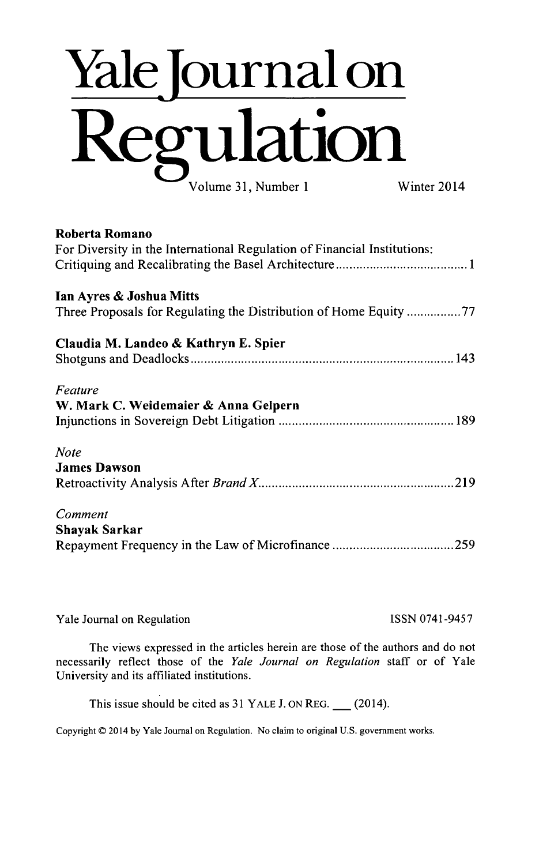# **Yale Journal on Re ulation** Volume **31,** Number 1 Winter 2014

### Roberta Romano

| For Diversity in the International Regulation of Financial Institutions: |
|--------------------------------------------------------------------------|
| Ian Ayres & Joshua Mitts                                                 |
| Three Proposals for Regulating the Distribution of Home Equity 77        |
| Claudia M. Landeo & Kathryn E. Spier                                     |
|                                                                          |
| Feature                                                                  |
| W. Mark C. Weidemaier & Anna Gelpern                                     |
|                                                                          |
| <b>Note</b>                                                              |
| <b>James Dawson</b>                                                      |
|                                                                          |
| Comment                                                                  |
| <b>Shayak Sarkar</b>                                                     |
|                                                                          |

| Yale Journal on Regulation | ISSN 0741-9457 |
|----------------------------|----------------|
|                            |                |

The views expressed in the articles herein are those of the authors and **do** not necessarily reflect those of the *Yale Journal on Regulation* staff or of Yale University and its affiliated institutions.

This issue should be cited as **31** YALE **J. ON** REG. **\_** (2014).

Copyright **D** 2014 **by** Yale Journal on Regulation. No claim to original **U.S.** government works.